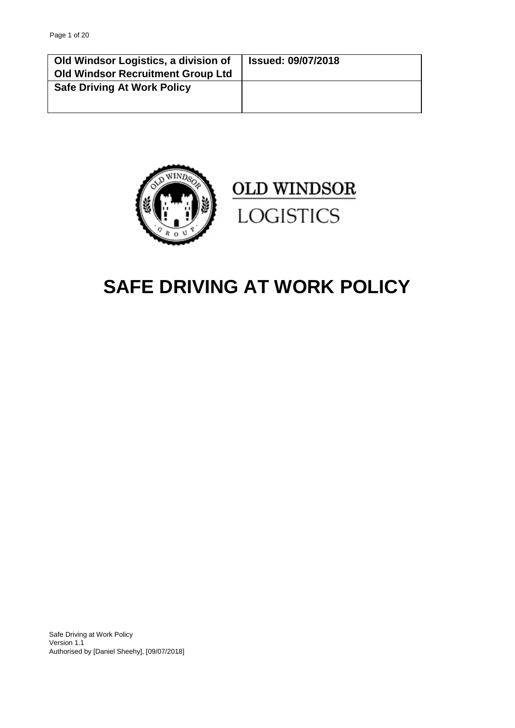| Old Windsor Logistics, a division of<br><b>Old Windsor Recruitment Group Ltd</b> | <b>Issued: 09/07/2018</b> |
|----------------------------------------------------------------------------------|---------------------------|
| <b>Safe Driving At Work Policy</b>                                               |                           |



# **OLD WINDSOR LOGISTICS**

## **SAFE DRIVING AT WORK POLICY**

Safe Driving at Work Policy Version 1.1 Authorised by [Daniel Sheehy], [09/07/2018]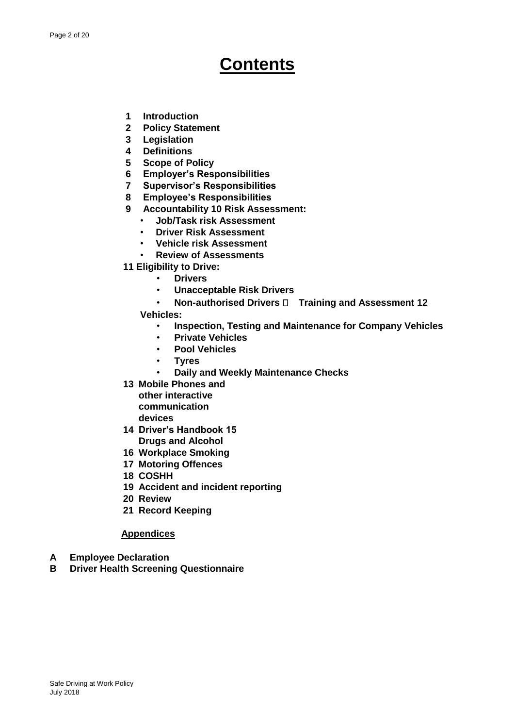## **Contents**

- **1 Introduction**
- **2 Policy Statement**
- **3 Legislation**
- **4 Definitions**
- **5 Scope of Policy**
- **6 Employer's Responsibilities**
- **7 Supervisor's Responsibilities**
- **8 Employee's Responsibilities**
- **9 Accountability 10 Risk Assessment:** 
	- **Job/Task risk Assessment**
	- **Driver Risk Assessment**
	- **Vehicle risk Assessment**
	- **Review of Assessments**
- **11 Eligibility to Drive:** 
	- **Drivers**
	- **Unacceptable Risk Drivers**
	- **Non-authorised Drivers**  $\Box$  **Training and Assessment 12**
	- **Vehicles:** 
		- **Inspection, Testing and Maintenance for Company Vehicles**
		- **Private Vehicles**
		- **Pool Vehicles**
		- **Tyres** 
			- **Daily and Weekly Maintenance Checks**
- **13 Mobile Phones and** 
	- **other interactive communication devices**
- **14 Driver's Handbook 15 Drugs and Alcohol**
- **16 Workplace Smoking**
- **17 Motoring Offences**
- **18 COSHH**
- **19 Accident and incident reporting**
- **20 Review**
- **21 Record Keeping**

#### **Appendices**

- **A Employee Declaration**
- **B Driver Health Screening Questionnaire**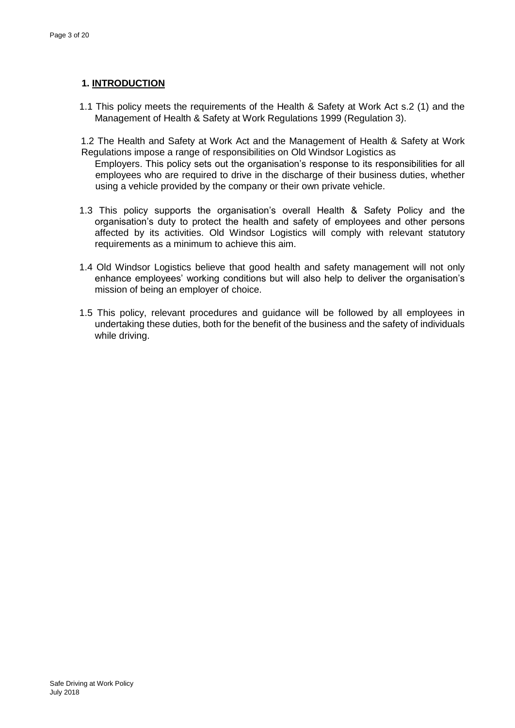## **1. INTRODUCTION**

1.1 This policy meets the requirements of the Health & Safety at Work Act s.2 (1) and the Management of Health & Safety at Work Regulations 1999 (Regulation 3).

1.2 The Health and Safety at Work Act and the Management of Health & Safety at Work Regulations impose a range of responsibilities on Old Windsor Logistics as

Employers. This policy sets out the organisation's response to its responsibilities for all employees who are required to drive in the discharge of their business duties, whether using a vehicle provided by the company or their own private vehicle.

- 1.3 This policy supports the organisation's overall Health & Safety Policy and the organisation's duty to protect the health and safety of employees and other persons affected by its activities. Old Windsor Logistics will comply with relevant statutory requirements as a minimum to achieve this aim.
- 1.4 Old Windsor Logistics believe that good health and safety management will not only enhance employees' working conditions but will also help to deliver the organisation's mission of being an employer of choice.
- 1.5 This policy, relevant procedures and guidance will be followed by all employees in undertaking these duties, both for the benefit of the business and the safety of individuals while driving.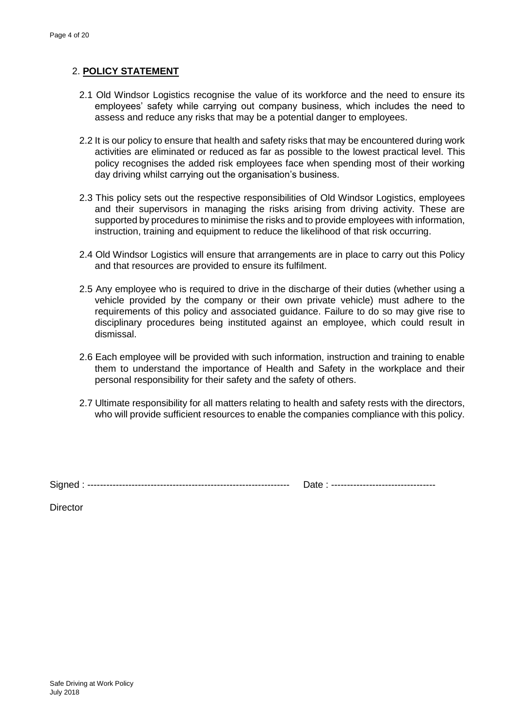## 2. **POLICY STATEMENT**

- 2.1 Old Windsor Logistics recognise the value of its workforce and the need to ensure its employees' safety while carrying out company business, which includes the need to assess and reduce any risks that may be a potential danger to employees.
- 2.2 It is our policy to ensure that health and safety risks that may be encountered during work activities are eliminated or reduced as far as possible to the lowest practical level. This policy recognises the added risk employees face when spending most of their working day driving whilst carrying out the organisation's business.
- 2.3 This policy sets out the respective responsibilities of Old Windsor Logistics, employees and their supervisors in managing the risks arising from driving activity. These are supported by procedures to minimise the risks and to provide employees with information, instruction, training and equipment to reduce the likelihood of that risk occurring.
- 2.4 Old Windsor Logistics will ensure that arrangements are in place to carry out this Policy and that resources are provided to ensure its fulfilment.
- 2.5 Any employee who is required to drive in the discharge of their duties (whether using a vehicle provided by the company or their own private vehicle) must adhere to the requirements of this policy and associated guidance. Failure to do so may give rise to disciplinary procedures being instituted against an employee, which could result in dismissal.
- 2.6 Each employee will be provided with such information, instruction and training to enable them to understand the importance of Health and Safety in the workplace and their personal responsibility for their safety and the safety of others.
- 2.7 Ultimate responsibility for all matters relating to health and safety rests with the directors, who will provide sufficient resources to enable the companies compliance with this policy.

Signed : ---------------------------------------------------------------- Date : ---------------------------------

| Date: | ----------------------------- |
|-------|-------------------------------|
|-------|-------------------------------|

**Director**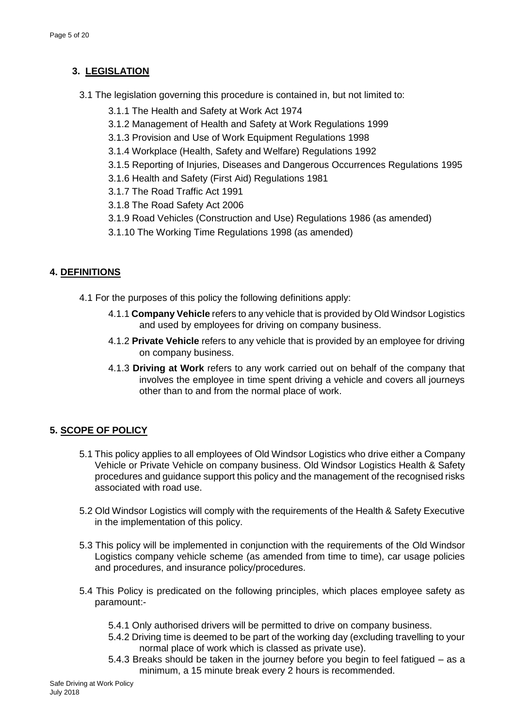## **3. LEGISLATION**

- 3.1 The legislation governing this procedure is contained in, but not limited to:
	- 3.1.1 The Health and Safety at Work Act 1974
	- 3.1.2 [Management of Health and Safety at Work Regulations 1999](http://www.hmso.gov.uk/si/si1999/19993242.htm)
	- 3.1.3 [Provision and Use of Work Equipment Regulations 1998](http://www.hmso.gov.uk/si/si1998/19982306.htm)
	- 3.1.4 [Workplace \(Health, Safety and Welfare\) Regulations 1992](http://www.hmso.gov.uk/si/si1992/Uksi_19923004_en_1.htm)
	- [3.1.5](http://www.hmso.gov.uk/si/si1995/Uksi_19953163_en_1.htm) [Reporting of Injuries, Diseases and Dangerous Occurrences Regulations 1995](http://www.hmso.gov.uk/si/si1995/Uksi_19953163_en_1.htm)
	- 3.1.6 [Health and Safety \(First Aid\) Regulations 1981](http://www.hse.gov.uk/hthdir/noframes/firstaid.htm)
	- 3.1.7 [The Road Traffic Act 1991](http://www.hmso.gov.uk/acts/acts1991/Ukpga_19910040_en_1.htm)
	- 3.1.8 The Road Safety Act 2006
	- 3.1.9 Road Vehicles (Construction and Use) Regulations 1986 (as amended)
	- 3.1.10 The Working Time Regulations 1998 (as amended)

## **4. DEFINITIONS**

- 4.1 For the purposes of this policy the following definitions apply:
	- 4.1.1 **Company Vehicle** refers to any vehicle that is provided by Old Windsor Logistics and used by employees for driving on company business.
	- 4.1.2 **Private Vehicle** refers to any vehicle that is provided by an employee for driving on company business.
	- 4.1.3 **Driving at Work** refers to any work carried out on behalf of the company that involves the employee in time spent driving a vehicle and covers all journeys other than to and from the normal place of work.

## **5. SCOPE OF POLICY**

- 5.1 This policy applies to all employees of Old Windsor Logistics who drive either a Company Vehicle or Private Vehicle on company business. Old Windsor Logistics Health & Safety procedures and guidance support this policy and the management of the recognised risks associated with road use.
- 5.2 Old Windsor Logistics will comply with the requirements of the Health & Safety Executive in the implementation of this policy.
- 5.3 This policy will be implemented in conjunction with the requirements of the Old Windsor Logistics company vehicle scheme (as amended from time to time), car usage policies and procedures, and insurance policy/procedures.
- 5.4 This Policy is predicated on the following principles, which places employee safety as paramount:-
	- 5.4.1 Only authorised drivers will be permitted to drive on company business.
	- 5.4.2 Driving time is deemed to be part of the working day (excluding travelling to your normal place of work which is classed as private use).
	- 5.4.3 Breaks should be taken in the journey before you begin to feel fatigued as a minimum, a 15 minute break every 2 hours is recommended.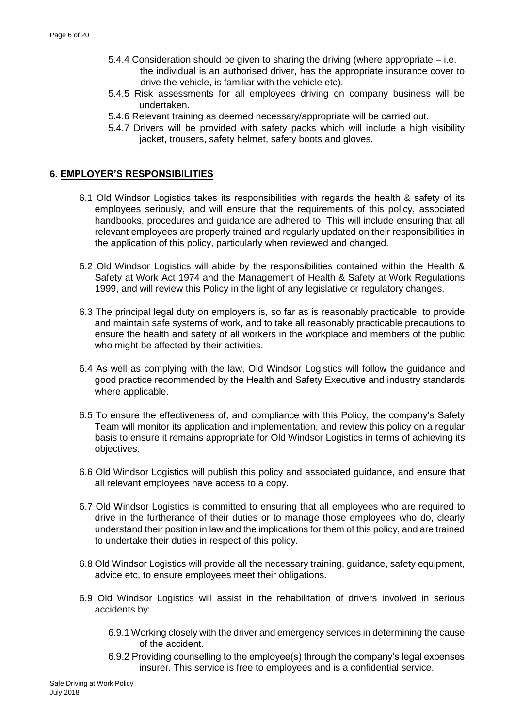- 5.4.4 Consideration should be given to sharing the driving (where appropriate i.e. the individual is an authorised driver, has the appropriate insurance cover to drive the vehicle, is familiar with the vehicle etc).
- 5.4.5 Risk assessments for all employees driving on company business will be undertaken.
- 5.4.6 Relevant training as deemed necessary/appropriate will be carried out.
- 5.4.7 Drivers will be provided with safety packs which will include a high visibility jacket, trousers, safety helmet, safety boots and gloves.

#### **6. EMPLOYER'S RESPONSIBILITIES**

- 6.1 Old Windsor Logistics takes its responsibilities with regards the health & safety of its employees seriously, and will ensure that the requirements of this policy, associated handbooks, procedures and guidance are adhered to. This will include ensuring that all relevant employees are properly trained and regularly updated on their responsibilities in the application of this policy, particularly when reviewed and changed.
- 6.2 Old Windsor Logistics will abide by the responsibilities contained within the Health & Safety at Work Act 1974 and the Management of Health & Safety at Work Regulations 1999, and will review this Policy in the light of any legislative or regulatory changes.
- 6.3 The principal legal duty on employers is, so far as is reasonably practicable, to provide and maintain safe systems of work, and to take all reasonably practicable precautions to ensure the health and safety of all workers in the workplace and members of the public who might be affected by their activities.
- 6.4 As well as complying with the law, Old Windsor Logistics will follow the guidance and good practice recommended by the Health and Safety Executive and industry standards where applicable.
- 6.5 To ensure the effectiveness of, and compliance with this Policy, the company's Safety Team will monitor its application and implementation, and review this policy on a regular basis to ensure it remains appropriate for Old Windsor Logistics in terms of achieving its objectives.
- 6.6 Old Windsor Logistics will publish this policy and associated guidance, and ensure that all relevant employees have access to a copy.
- 6.7 Old Windsor Logistics is committed to ensuring that all employees who are required to drive in the furtherance of their duties or to manage those employees who do, clearly understand their position in law and the implications for them of this policy, and are trained to undertake their duties in respect of this policy.
- 6.8 Old Windsor Logistics will provide all the necessary training, guidance, safety equipment, advice etc, to ensure employees meet their obligations.
- 6.9 Old Windsor Logistics will assist in the rehabilitation of drivers involved in serious accidents by:
	- 6.9.1 Working closely with the driver and emergency services in determining the cause of the accident.
	- 6.9.2 Providing counselling to the employee(s) through the company's legal expenses insurer. This service is free to employees and is a confidential service.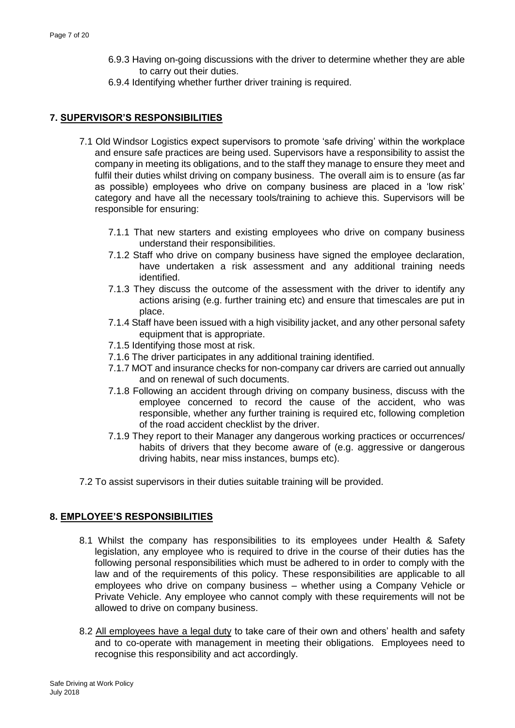- 6.9.3 Having on-going discussions with the driver to determine whether they are able to carry out their duties.
- 6.9.4 Identifying whether further driver training is required.

## **7. SUPERVISOR'S RESPONSIBILITIES**

- 7.1 Old Windsor Logistics expect supervisors to promote 'safe driving' within the workplace and ensure safe practices are being used. Supervisors have a responsibility to assist the company in meeting its obligations, and to the staff they manage to ensure they meet and fulfil their duties whilst driving on company business. The overall aim is to ensure (as far as possible) employees who drive on company business are placed in a 'low risk' category and have all the necessary tools/training to achieve this. Supervisors will be responsible for ensuring:
	- 7.1.1 That new starters and existing employees who drive on company business understand their responsibilities.
	- 7.1.2 Staff who drive on company business have signed the employee declaration, have undertaken a risk assessment and any additional training needs identified.
	- 7.1.3 They discuss the outcome of the assessment with the driver to identify any actions arising (e.g. further training etc) and ensure that timescales are put in place.
	- 7.1.4 Staff have been issued with a high visibility jacket, and any other personal safety equipment that is appropriate.
	- 7.1.5 Identifying those most at risk.
	- 7.1.6 The driver participates in any additional training identified.
	- 7.1.7 MOT and insurance checks for non-company car drivers are carried out annually and on renewal of such documents.
	- 7.1.8 Following an accident through driving on company business, discuss with the employee concerned to record the cause of the accident, who was responsible, whether any further training is required etc, following completion of the road accident checklist by the driver.
	- 7.1.9 They report to their Manager any dangerous working practices or occurrences/ habits of drivers that they become aware of (e.g. aggressive or dangerous driving habits, near miss instances, bumps etc).
- 7.2 To assist supervisors in their duties suitable training will be provided.

## **8. EMPLOYEE'S RESPONSIBILITIES**

- 8.1 Whilst the company has responsibilities to its employees under Health & Safety legislation, any employee who is required to drive in the course of their duties has the following personal responsibilities which must be adhered to in order to comply with the law and of the requirements of this policy. These responsibilities are applicable to all employees who drive on company business – whether using a Company Vehicle or Private Vehicle. Any employee who cannot comply with these requirements will not be allowed to drive on company business.
- 8.2 All employees have a legal duty to take care of their own and others' health and safety and to co-operate with management in meeting their obligations. Employees need to recognise this responsibility and act accordingly.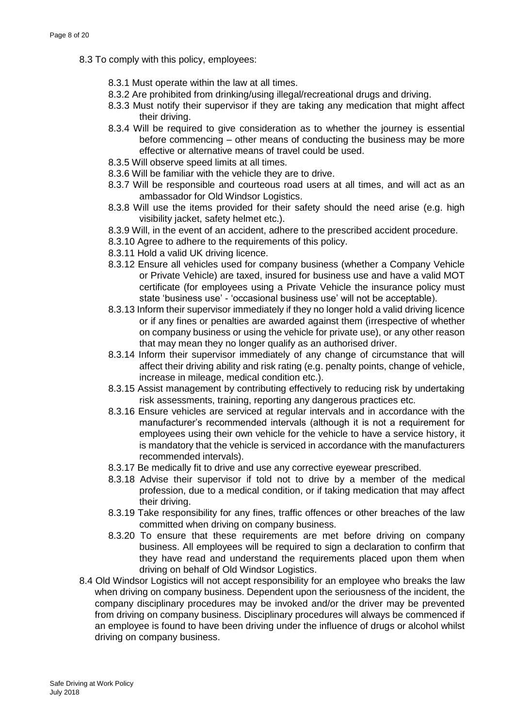- 8.3 To comply with this policy, employees:
	- 8.3.1 Must operate within the law at all times.
	- 8.3.2 Are prohibited from drinking/using illegal/recreational drugs and driving.
	- 8.3.3 Must notify their supervisor if they are taking any medication that might affect their driving.
	- 8.3.4 Will be required to give consideration as to whether the journey is essential before commencing – other means of conducting the business may be more effective or alternative means of travel could be used.
	- 8.3.5 Will observe speed limits at all times.
	- 8.3.6 Will be familiar with the vehicle they are to drive.
	- 8.3.7 Will be responsible and courteous road users at all times, and will act as an ambassador for Old Windsor Logistics.
	- 8.3.8 Will use the items provided for their safety should the need arise (e.g. high visibility jacket, safety helmet etc.).
	- 8.3.9 Will, in the event of an accident, adhere to the prescribed accident procedure.
	- 8.3.10 Agree to adhere to the requirements of this policy.
	- 8.3.11 Hold a valid UK driving licence.
	- 8.3.12 Ensure all vehicles used for company business (whether a Company Vehicle or Private Vehicle) are taxed, insured for business use and have a valid MOT certificate (for employees using a Private Vehicle the insurance policy must state 'business use' - 'occasional business use' will not be acceptable).
	- 8.3.13 Inform their supervisor immediately if they no longer hold a valid driving licence or if any fines or penalties are awarded against them (irrespective of whether on company business or using the vehicle for private use), or any other reason that may mean they no longer qualify as an authorised driver.
	- 8.3.14 Inform their supervisor immediately of any change of circumstance that will affect their driving ability and risk rating (e.g. penalty points, change of vehicle, increase in mileage, medical condition etc.).
	- 8.3.15 Assist management by contributing effectively to reducing risk by undertaking risk assessments, training, reporting any dangerous practices etc.
	- 8.3.16 Ensure vehicles are serviced at regular intervals and in accordance with the manufacturer's recommended intervals (although it is not a requirement for employees using their own vehicle for the vehicle to have a service history, it is mandatory that the vehicle is serviced in accordance with the manufacturers recommended intervals).
	- 8.3.17 Be medically fit to drive and use any corrective eyewear prescribed.
	- 8.3.18 Advise their supervisor if told not to drive by a member of the medical profession, due to a medical condition, or if taking medication that may affect their driving.
	- 8.3.19 Take responsibility for any fines, traffic offences or other breaches of the law committed when driving on company business.
	- 8.3.20 To ensure that these requirements are met before driving on company business. All employees will be required to sign a declaration to confirm that they have read and understand the requirements placed upon them when driving on behalf of Old Windsor Logistics.
- 8.4 Old Windsor Logistics will not accept responsibility for an employee who breaks the law when driving on company business. Dependent upon the seriousness of the incident, the company disciplinary procedures may be invoked and/or the driver may be prevented from driving on company business. Disciplinary procedures will always be commenced if an employee is found to have been driving under the influence of drugs or alcohol whilst driving on company business.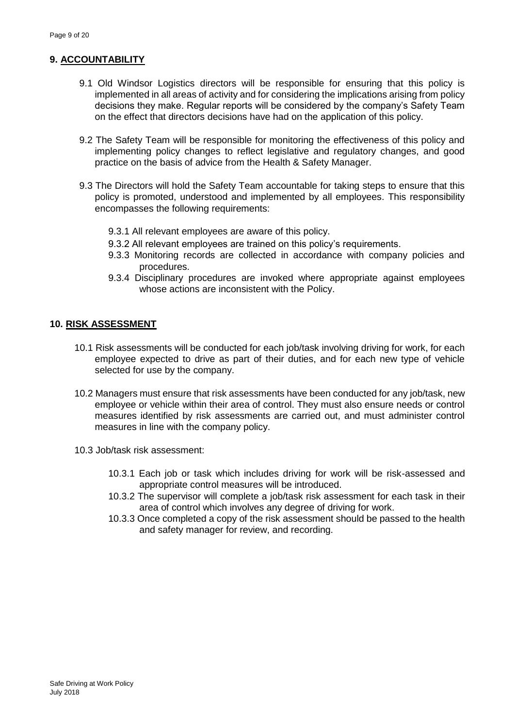### **9. ACCOUNTABILITY**

- 9.1 Old Windsor Logistics directors will be responsible for ensuring that this policy is implemented in all areas of activity and for considering the implications arising from policy decisions they make. Regular reports will be considered by the company's Safety Team on the effect that directors decisions have had on the application of this policy.
- 9.2 The Safety Team will be responsible for monitoring the effectiveness of this policy and implementing policy changes to reflect legislative and regulatory changes, and good practice on the basis of advice from the Health & Safety Manager.
- 9.3 The Directors will hold the Safety Team accountable for taking steps to ensure that this policy is promoted, understood and implemented by all employees. This responsibility encompasses the following requirements:
	- 9.3.1 All relevant employees are aware of this policy.
	- 9.3.2 All relevant employees are trained on this policy's requirements.
	- 9.3.3 Monitoring records are collected in accordance with company policies and procedures.
	- 9.3.4 Disciplinary procedures are invoked where appropriate against employees whose actions are inconsistent with the Policy.

#### **10. RISK ASSESSMENT**

- 10.1 Risk assessments will be conducted for each job/task involving driving for work, for each employee expected to drive as part of their duties, and for each new type of vehicle selected for use by the company.
- 10.2 Managers must ensure that risk assessments have been conducted for any job/task, new employee or vehicle within their area of control. They must also ensure needs or control measures identified by risk assessments are carried out, and must administer control measures in line with the company policy.
- 10.3 Job/task risk assessment:
	- 10.3.1 Each job or task which includes driving for work will be risk-assessed and appropriate control measures will be introduced.
	- 10.3.2 The supervisor will complete a job/task risk assessment for each task in their area of control which involves any degree of driving for work.
	- 10.3.3 Once completed a copy of the risk assessment should be passed to the health and safety manager for review, and recording.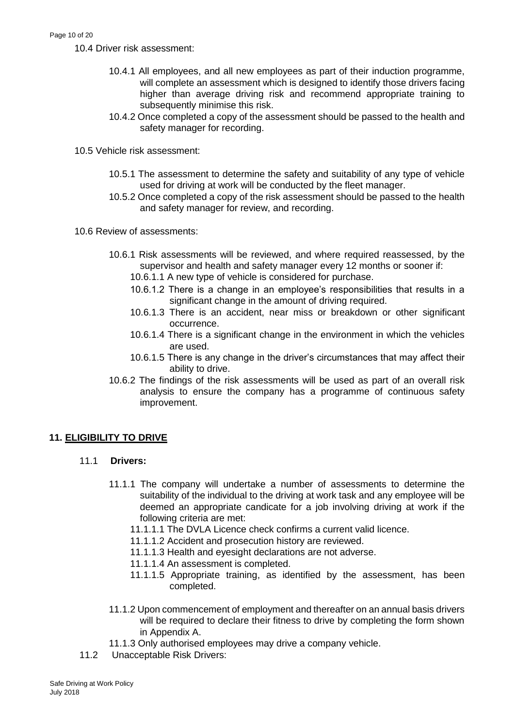10.4 Driver risk assessment:

- 10.4.1 All employees, and all new employees as part of their induction programme, will complete an assessment which is designed to identify those drivers facing higher than average driving risk and recommend appropriate training to subsequently minimise this risk.
- 10.4.2 Once completed a copy of the assessment should be passed to the health and safety manager for recording.
- 10.5 Vehicle risk assessment:
	- 10.5.1 The assessment to determine the safety and suitability of any type of vehicle used for driving at work will be conducted by the fleet manager.
	- 10.5.2 Once completed a copy of the risk assessment should be passed to the health and safety manager for review, and recording.
- 10.6 Review of assessments:
	- 10.6.1 Risk assessments will be reviewed, and where required reassessed, by the supervisor and health and safety manager every 12 months or sooner if:
		- 10.6.1.1 A new type of vehicle is considered for purchase.
		- 10.6.1.2 There is a change in an employee's responsibilities that results in a significant change in the amount of driving required.
		- 10.6.1.3 There is an accident, near miss or breakdown or other significant occurrence.
		- 10.6.1.4 There is a significant change in the environment in which the vehicles are used.
		- 10.6.1.5 There is any change in the driver's circumstances that may affect their ability to drive.
	- 10.6.2 The findings of the risk assessments will be used as part of an overall risk analysis to ensure the company has a programme of continuous safety improvement.

## **11. ELIGIBILITY TO DRIVE**

- 11.1 **Drivers:**
	- 11.1.1 The company will undertake a number of assessments to determine the suitability of the individual to the driving at work task and any employee will be deemed an appropriate candicate for a job involving driving at work if the following criteria are met:
		- 11.1.1.1 The DVLA Licence check confirms a current valid licence.
		- 11.1.1.2 Accident and prosecution history are reviewed.
		- 11.1.1.3 Health and eyesight declarations are not adverse.
		- 11.1.1.4 An assessment is completed.
		- 11.1.1.5 Appropriate training, as identified by the assessment, has been completed.
	- 11.1.2 Upon commencement of employment and thereafter on an annual basis drivers will be required to declare their fitness to drive by completing the form shown in Appendix A.
	- 11.1.3 Only authorised employees may drive a company vehicle.
- 11.2 Unacceptable Risk Drivers: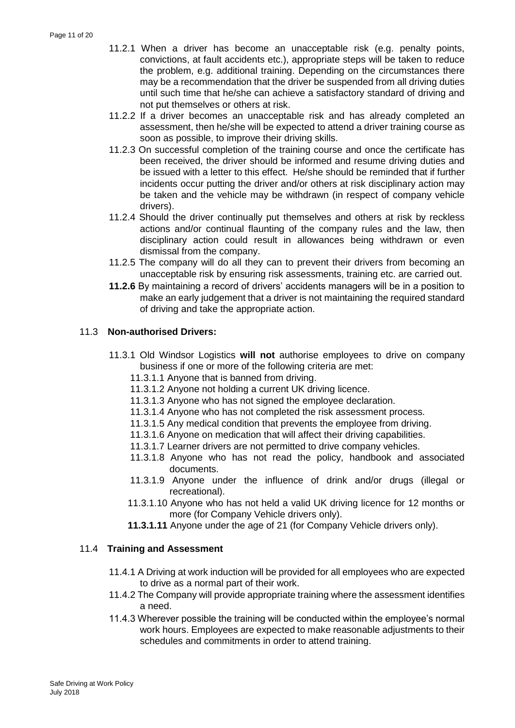- 11.2.1 When a driver has become an unacceptable risk (e.g. penalty points, convictions, at fault accidents etc.), appropriate steps will be taken to reduce the problem, e.g. additional training. Depending on the circumstances there may be a recommendation that the driver be suspended from all driving duties until such time that he/she can achieve a satisfactory standard of driving and not put themselves or others at risk.
- 11.2.2 If a driver becomes an unacceptable risk and has already completed an assessment, then he/she will be expected to attend a driver training course as soon as possible, to improve their driving skills.
- 11.2.3 On successful completion of the training course and once the certificate has been received, the driver should be informed and resume driving duties and be issued with a letter to this effect. He/she should be reminded that if further incidents occur putting the driver and/or others at risk disciplinary action may be taken and the vehicle may be withdrawn (in respect of company vehicle drivers).
- 11.2.4 Should the driver continually put themselves and others at risk by reckless actions and/or continual flaunting of the company rules and the law, then disciplinary action could result in allowances being withdrawn or even dismissal from the company.
- 11.2.5 The company will do all they can to prevent their drivers from becoming an unacceptable risk by ensuring risk assessments, training etc. are carried out.
- **11.2.6** By maintaining a record of drivers' accidents managers will be in a position to make an early judgement that a driver is not maintaining the required standard of driving and take the appropriate action.

## 11.3 **Non-authorised Drivers:**

- 11.3.1 Old Windsor Logistics **will not** authorise employees to drive on company business if one or more of the following criteria are met:
	- 11.3.1.1 Anyone that is banned from driving.
	- 11.3.1.2 Anyone not holding a current UK driving licence.
	- 11.3.1.3 Anyone who has not signed the employee declaration.
	- 11.3.1.4 Anyone who has not completed the risk assessment process.
	- 11.3.1.5 Any medical condition that prevents the employee from driving.
	- 11.3.1.6 Anyone on medication that will affect their driving capabilities.
	- 11.3.1.7 Learner drivers are not permitted to drive company vehicles.
	- 11.3.1.8 Anyone who has not read the policy, handbook and associated documents.
	- 11.3.1.9 Anyone under the influence of drink and/or drugs (illegal or recreational).
	- 11.3.1.10 Anyone who has not held a valid UK driving licence for 12 months or more (for Company Vehicle drivers only).
	- **11.3.1.11** Anyone under the age of 21 (for Company Vehicle drivers only).

## 11.4 **Training and Assessment**

- 11.4.1 A Driving at work induction will be provided for all employees who are expected to drive as a normal part of their work.
- 11.4.2 The Company will provide appropriate training where the assessment identifies a need.
- 11.4.3 Wherever possible the training will be conducted within the employee's normal work hours. Employees are expected to make reasonable adjustments to their schedules and commitments in order to attend training.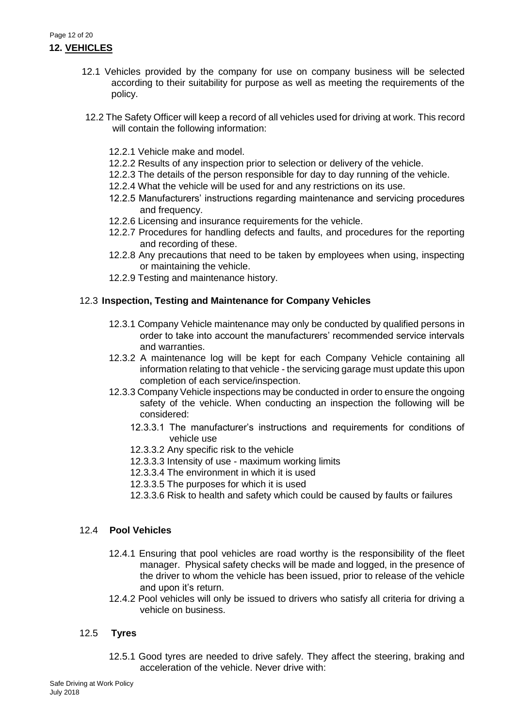- 12.1 Vehicles provided by the company for use on company business will be selected according to their suitability for purpose as well as meeting the requirements of the policy.
- 12.2 The Safety Officer will keep a record of all vehicles used for driving at work. This record will contain the following information:
	- 12.2.1 Vehicle make and model.
	- 12.2.2 Results of any inspection prior to selection or delivery of the vehicle.
	- 12.2.3 The details of the person responsible for day to day running of the vehicle.
	- 12.2.4 What the vehicle will be used for and any restrictions on its use.
	- 12.2.5 Manufacturers' instructions regarding maintenance and servicing procedures and frequency.
	- 12.2.6 Licensing and insurance requirements for the vehicle.
	- 12.2.7 Procedures for handling defects and faults, and procedures for the reporting and recording of these.
	- 12.2.8 Any precautions that need to be taken by employees when using, inspecting or maintaining the vehicle.
	- 12.2.9 Testing and maintenance history.

## 12.3 **Inspection, Testing and Maintenance for Company Vehicles**

- 12.3.1 Company Vehicle maintenance may only be conducted by qualified persons in order to take into account the manufacturers' recommended service intervals and warranties.
- 12.3.2 A maintenance log will be kept for each Company Vehicle containing all information relating to that vehicle - the servicing garage must update this upon completion of each service/inspection.
- 12.3.3 Company Vehicle inspections may be conducted in order to ensure the ongoing safety of the vehicle. When conducting an inspection the following will be considered:
	- 12.3.3.1 The manufacturer's instructions and requirements for conditions of vehicle use
	- 12.3.3.2 Any specific risk to the vehicle
	- 12.3.3.3 Intensity of use maximum working limits
	- 12.3.3.4 The environment in which it is used
	- 12.3.3.5 The purposes for which it is used
	- 12.3.3.6 Risk to health and safety which could be caused by faults or failures

## 12.4 **Pool Vehicles**

- 12.4.1 Ensuring that pool vehicles are road worthy is the responsibility of the fleet manager. Physical safety checks will be made and logged, in the presence of the driver to whom the vehicle has been issued, prior to release of the vehicle and upon it's return.
- 12.4.2 Pool vehicles will only be issued to drivers who satisfy all criteria for driving a vehicle on business.

## 12.5 **Tyres**

12.5.1 Good tyres are needed to drive safely. They affect the steering, braking and acceleration of the vehicle. Never drive with: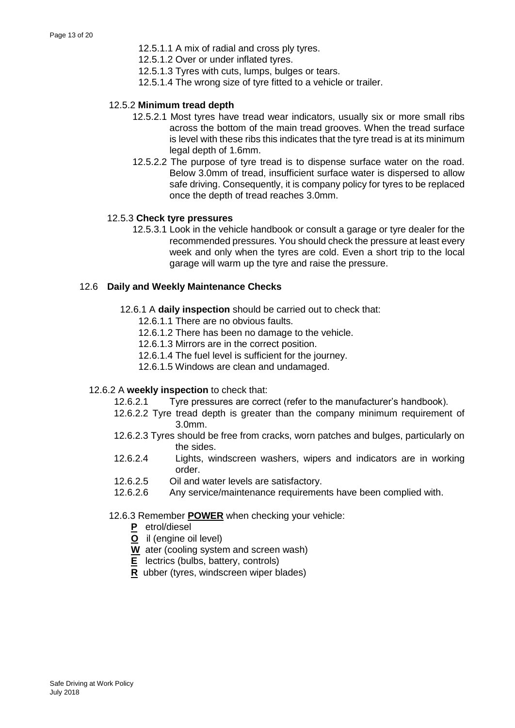- 12.5.1.1 A mix of radial and cross ply tyres.
- 12.5.1.2 Over or under inflated tyres.
- 12.5.1.3 Tyres with cuts, lumps, bulges or tears.
- 12.5.1.4 The wrong size of tyre fitted to a vehicle or trailer.

#### 12.5.2 **Minimum tread depth**

- 12.5.2.1 Most tyres have tread wear indicators, usually six or more small ribs across the bottom of the main tread grooves. When the tread surface is level with these ribs this indicates that the tyre tread is at its minimum legal depth of 1.6mm.
- 12.5.2.2 The purpose of tyre tread is to dispense surface water on the road. Below 3.0mm of tread, insufficient surface water is dispersed to allow safe driving. Consequently, it is company policy for tyres to be replaced once the depth of tread reaches 3.0mm.

#### 12.5.3 **Check tyre pressures**

12.5.3.1 Look in the vehicle handbook or consult a garage or tyre dealer for the recommended pressures. You should check the pressure at least every week and only when the tyres are cold. Even a short trip to the local garage will warm up the tyre and raise the pressure.

#### 12.6 **Daily and Weekly Maintenance Checks**

- 12.6.1 A **daily inspection** should be carried out to check that:
	- 12.6.1.1 There are no obvious faults.
	- 12.6.1.2 There has been no damage to the vehicle.
	- 12.6.1.3 Mirrors are in the correct position.
	- 12.6.1.4 The fuel level is sufficient for the journey.
	- 12.6.1.5 Windows are clean and undamaged.

#### 12.6.2 A **weekly inspection** to check that:

- 12.6.2.1 Tyre pressures are correct (refer to the manufacturer's handbook).
- 12.6.2.2 Tyre tread depth is greater than the company minimum requirement of 3.0mm.
- 12.6.2.3 Tyres should be free from cracks, worn patches and bulges, particularly on the sides.
- 12.6.2.4 Lights, windscreen washers, wipers and indicators are in working order.
- 12.6.2.5 Oil and water levels are satisfactory.
- 12.6.2.6 Any service/maintenance requirements have been complied with.

#### 12.6.3 Remember **POWER** when checking your vehicle:

- **P** etrol/diesel
- **O** il (engine oil level)
- **W** ater (cooling system and screen wash)
- **E** lectrics (bulbs, battery, controls)
- **R** ubber (tyres, windscreen wiper blades)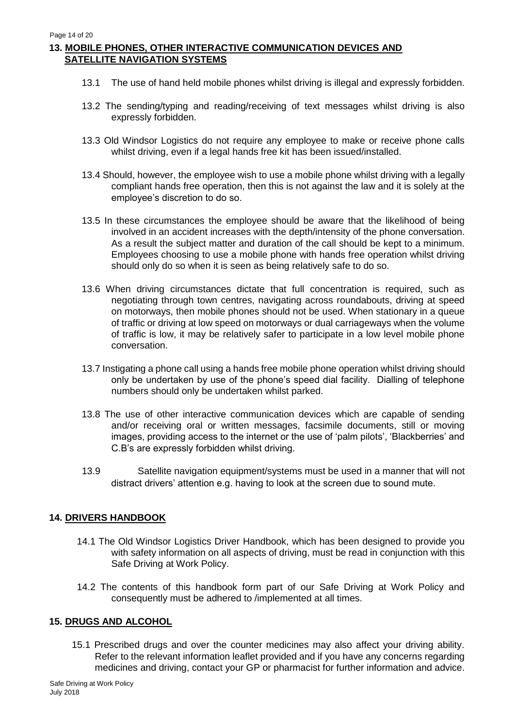## **13. MOBILE PHONES, OTHER INTERACTIVE COMMUNICATION DEVICES AND SATELLITE NAVIGATION SYSTEMS**

- 13.1 The use of hand held mobile phones whilst driving is illegal and expressly forbidden.
- 13.2 The sending/typing and reading/receiving of text messages whilst driving is also expressly forbidden.
- 13.3 Old Windsor Logistics do not require any employee to make or receive phone calls whilst driving, even if a legal hands free kit has been issued/installed.
- 13.4 Should, however, the employee wish to use a mobile phone whilst driving with a legally compliant hands free operation, then this is not against the law and it is solely at the employee's discretion to do so.
- 13.5 In these circumstances the employee should be aware that the likelihood of being involved in an accident increases with the depth/intensity of the phone conversation. As a result the subject matter and duration of the call should be kept to a minimum. Employees choosing to use a mobile phone with hands free operation whilst driving should only do so when it is seen as being relatively safe to do so.
- 13.6 When driving circumstances dictate that full concentration is required, such as negotiating through town centres, navigating across roundabouts, driving at speed on motorways, then mobile phones should not be used. When stationary in a queue of traffic or driving at low speed on motorways or dual carriageways when the volume of traffic is low, it may be relatively safer to participate in a low level mobile phone conversation.
- 13.7 Instigating a phone call using a hands free mobile phone operation whilst driving should only be undertaken by use of the phone's speed dial facility. Dialling of telephone numbers should only be undertaken whilst parked.
- 13.8 The use of other interactive communication devices which are capable of sending and/or receiving oral or written messages, facsimile documents, still or moving images, providing access to the internet or the use of 'palm pilots', 'Blackberries' and C.B's are expressly forbidden whilst driving.
- 13.9 Satellite navigation equipment/systems must be used in a manner that will not distract drivers' attention e.g. having to look at the screen due to sound mute.

## **14. DRIVERS HANDBOOK**

- 14.1 The Old Windsor Logistics Driver Handbook, which has been designed to provide you with safety information on all aspects of driving, must be read in conjunction with this Safe Driving at Work Policy.
- 14.2 The contents of this handbook form part of our Safe Driving at Work Policy and consequently must be adhered to /implemented at all times.

## **15. DRUGS AND ALCOHOL**

15.1 Prescribed drugs and over the counter medicines may also affect your driving ability. Refer to the relevant information leaflet provided and if you have any concerns regarding medicines and driving, contact your GP or pharmacist for further information and advice.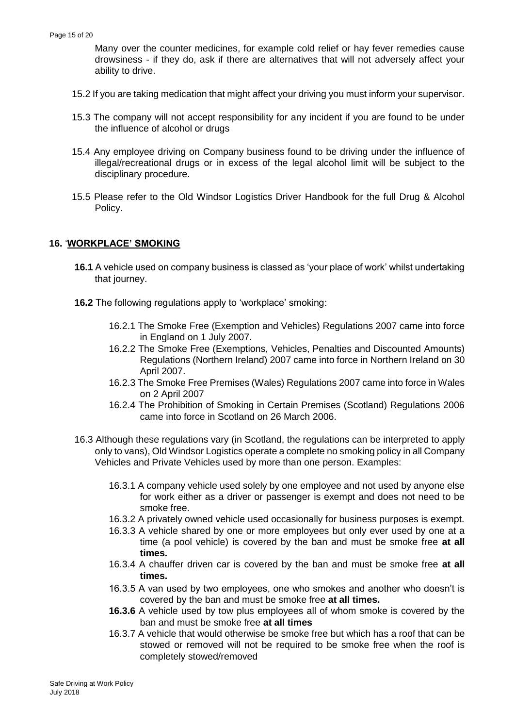Many over the counter medicines, for example cold relief or hay fever remedies cause drowsiness - if they do, ask if there are alternatives that will not adversely affect your ability to drive.

- 15.2 If you are taking medication that might affect your driving you must inform your supervisor.
- 15.3 The company will not accept responsibility for any incident if you are found to be under the influence of alcohol or drugs
- 15.4 Any employee driving on Company business found to be driving under the influence of illegal/recreational drugs or in excess of the legal alcohol limit will be subject to the disciplinary procedure.
- 15.5 Please refer to the Old Windsor Logistics Driver Handbook for the full Drug & Alcohol Policy.

## **16.** '**WORKPLACE' SMOKING**

- **16.1** A vehicle used on company business is classed as 'your place of work' whilst undertaking that journey.
- **16.2** The following regulations apply to 'workplace' smoking:
	- 16.2.1 The Smoke Free (Exemption and Vehicles) Regulations 2007 came into force in England on 1 July 2007.
	- 16.2.2 The Smoke Free (Exemptions, Vehicles, Penalties and Discounted Amounts) Regulations (Northern Ireland) 2007 came into force in Northern Ireland on 30 April 2007.
	- 16.2.3 The Smoke Free Premises (Wales) Regulations 2007 came into force in Wales on 2 April 2007
	- 16.2.4 The Prohibition of Smoking in Certain Premises (Scotland) Regulations 2006 came into force in Scotland on 26 March 2006.
- 16.3 Although these regulations vary (in Scotland, the regulations can be interpreted to apply only to vans), Old Windsor Logistics operate a complete no smoking policy in all Company Vehicles and Private Vehicles used by more than one person. Examples:
	- 16.3.1 A company vehicle used solely by one employee and not used by anyone else for work either as a driver or passenger is exempt and does not need to be smoke free.
	- 16.3.2 A privately owned vehicle used occasionally for business purposes is exempt.
	- 16.3.3 A vehicle shared by one or more employees but only ever used by one at a time (a pool vehicle) is covered by the ban and must be smoke free **at all times.**
	- 16.3.4 A chauffer driven car is covered by the ban and must be smoke free **at all times.**
	- 16.3.5 A van used by two employees, one who smokes and another who doesn't is covered by the ban and must be smoke free **at all times.**
	- **16.3.6** A vehicle used by tow plus employees all of whom smoke is covered by the ban and must be smoke free **at all times**
	- 16.3.7 A vehicle that would otherwise be smoke free but which has a roof that can be stowed or removed will not be required to be smoke free when the roof is completely stowed/removed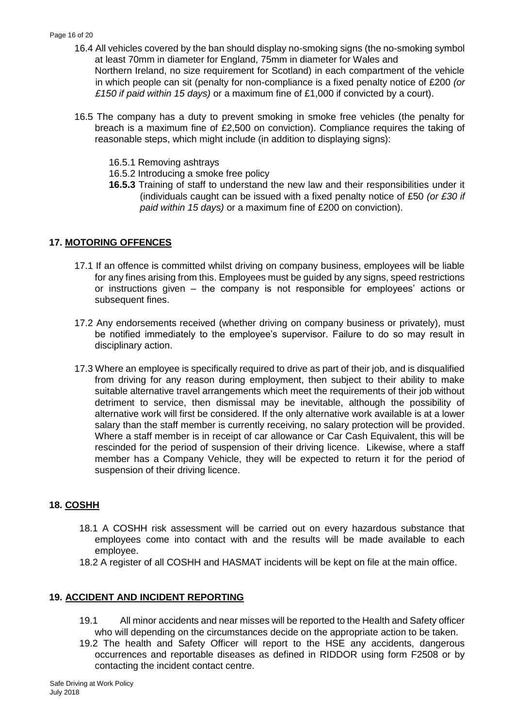- 16.4 All vehicles covered by the ban should display no-smoking signs (the no-smoking symbol at least 70mm in diameter for England, 75mm in diameter for Wales and Northern Ireland, no size requirement for Scotland) in each compartment of the vehicle in which people can sit (penalty for non-compliance is a fixed penalty notice of £200 *(or £150 if paid within 15 days)* or a maximum fine of £1,000 if convicted by a court).
- 16.5 The company has a duty to prevent smoking in smoke free vehicles (the penalty for breach is a maximum fine of £2,500 on conviction). Compliance requires the taking of reasonable steps, which might include (in addition to displaying signs):
	- 16.5.1 Removing ashtrays
	- 16.5.2 Introducing a smoke free policy
	- **16.5.3** Training of staff to understand the new law and their responsibilities under it (individuals caught can be issued with a fixed penalty notice of £50 *(or £30 if paid within 15 days)* or a maximum fine of £200 on conviction).

#### **17. MOTORING OFFENCES**

- 17.1 If an offence is committed whilst driving on company business, employees will be liable for any fines arising from this. Employees must be guided by any signs, speed restrictions or instructions given – the company is not responsible for employees' actions or subsequent fines.
- 17.2 Any endorsements received (whether driving on company business or privately), must be notified immediately to the employee's supervisor. Failure to do so may result in disciplinary action.
- 17.3 Where an employee is specifically required to drive as part of their job, and is disqualified from driving for any reason during employment, then subject to their ability to make suitable alternative travel arrangements which meet the requirements of their job without detriment to service, then dismissal may be inevitable, although the possibility of alternative work will first be considered. If the only alternative work available is at a lower salary than the staff member is currently receiving, no salary protection will be provided. Where a staff member is in receipt of car allowance or Car Cash Equivalent, this will be rescinded for the period of suspension of their driving licence. Likewise, where a staff member has a Company Vehicle, they will be expected to return it for the period of suspension of their driving licence.

## **18. COSHH**

- 18.1 A COSHH risk assessment will be carried out on every hazardous substance that employees come into contact with and the results will be made available to each employee.
- 18.2 A register of all COSHH and HASMAT incidents will be kept on file at the main office.

#### **19. ACCIDENT AND INCIDENT REPORTING**

- 19.1 All minor accidents and near misses will be reported to the Health and Safety officer who will depending on the circumstances decide on the appropriate action to be taken.
- 19.2 The health and Safety Officer will report to the HSE any accidents, dangerous occurrences and reportable diseases as defined in RIDDOR using form F2508 or by contacting the incident contact centre.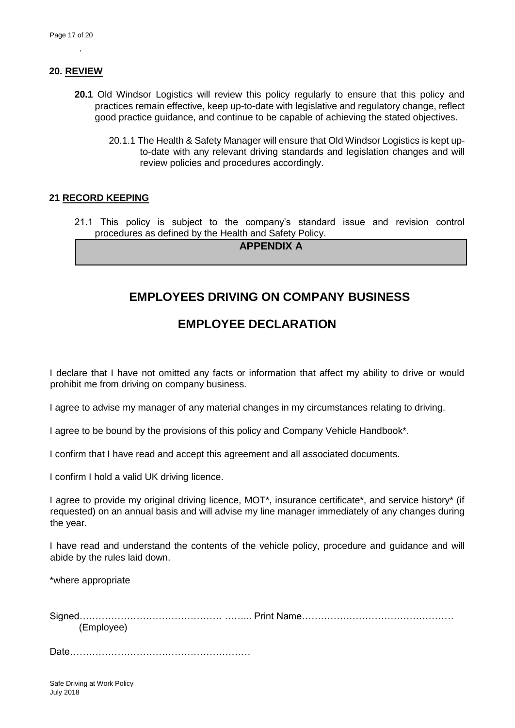#### **20. REVIEW**

.

- **20.1** Old Windsor Logistics will review this policy regularly to ensure that this policy and practices remain effective, keep up-to-date with legislative and regulatory change, reflect good practice guidance, and continue to be capable of achieving the stated objectives.
	- 20.1.1 The Health & Safety Manager will ensure that Old Windsor Logistics is kept upto-date with any relevant driving standards and legislation changes and will review policies and procedures accordingly.

#### **21 RECORD KEEPING**

21.1 This policy is subject to the company's standard issue and revision control procedures as defined by the Health and Safety Policy.

**APPENDIX A** 

## **EMPLOYEES DRIVING ON COMPANY BUSINESS**

## **EMPLOYEE DECLARATION**

I declare that I have not omitted any facts or information that affect my ability to drive or would prohibit me from driving on company business.

I agree to advise my manager of any material changes in my circumstances relating to driving.

I agree to be bound by the provisions of this policy and Company Vehicle Handbook\*.

I confirm that I have read and accept this agreement and all associated documents.

I confirm I hold a valid UK driving licence.

I agree to provide my original driving licence, MOT\*, insurance certificate\*, and service history\* (if requested) on an annual basis and will advise my line manager immediately of any changes during the year.

I have read and understand the contents of the vehicle policy, procedure and guidance and will abide by the rules laid down.

\*where appropriate

Signed……………………………………… ……... Print Name………………………………………… (Employee)

Date…………………………………………………

Safe Driving at Work Policy July 2018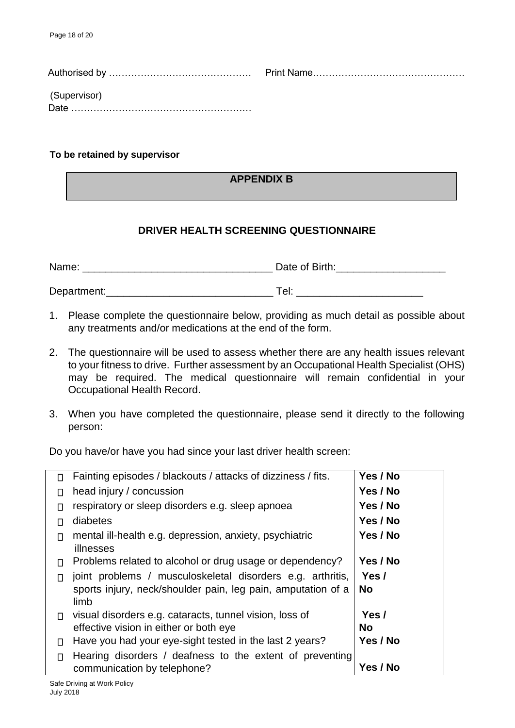| (Supervisor) |  |
|--------------|--|

## **To be retained by supervisor**

## **APPENDIX B**

## **DRIVER HEALTH SCREENING QUESTIONNAIRE**

| Name:       | Date of Birth: |
|-------------|----------------|
|             |                |
| Department: | ⊤el: i         |

- 1. Please complete the questionnaire below, providing as much detail as possible about any treatments and/or medications at the end of the form.
- 2. The questionnaire will be used to assess whether there are any health issues relevant to your fitness to drive. Further assessment by an Occupational Health Specialist (OHS) may be required. The medical questionnaire will remain confidential in your Occupational Health Record.
- 3. When you have completed the questionnaire, please send it directly to the following person:

Do you have/or have you had since your last driver health screen:

| П  | Fainting episodes / blackouts / attacks of dizziness / fits.                                                                       | Yes / No           |
|----|------------------------------------------------------------------------------------------------------------------------------------|--------------------|
| П  | head injury / concussion                                                                                                           | Yes / No           |
| П  | respiratory or sleep disorders e.g. sleep apnoea                                                                                   | Yes / No           |
| П  | diabetes                                                                                                                           | Yes / No           |
| П  | mental ill-health e.g. depression, anxiety, psychiatric<br>illnesses                                                               | Yes / No           |
| П  | Problems related to alcohol or drug usage or dependency?                                                                           | Yes / No           |
|    | joint problems / musculoskeletal disorders e.g. arthritis,<br>sports injury, neck/shoulder pain, leg pain, amputation of a<br>limb | Yes /<br><b>No</b> |
| П. | visual disorders e.g. cataracts, tunnel vision, loss of<br>effective vision in either or both eye                                  | Yes /<br><b>No</b> |
| П  | Have you had your eye-sight tested in the last 2 years?                                                                            | Yes / No           |
| П  | Hearing disorders / deafness to the extent of preventing<br>communication by telephone?                                            | Yes / No           |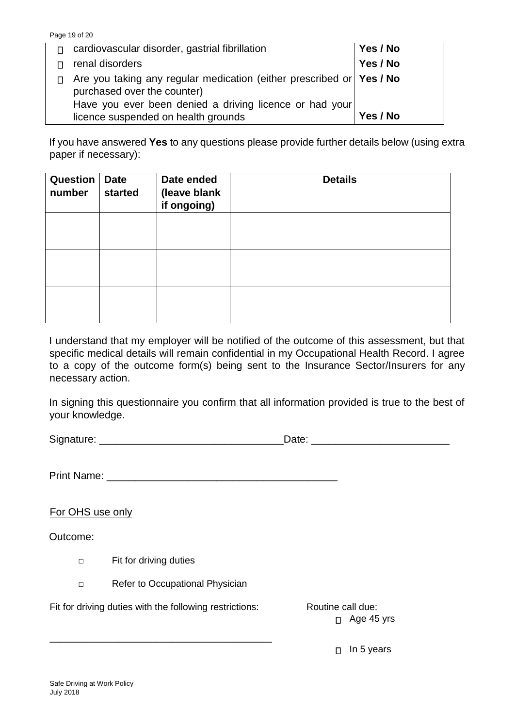|    | Page 19 of 20                                                                                                                                                  |          |
|----|----------------------------------------------------------------------------------------------------------------------------------------------------------------|----------|
| П. | cardiovascular disorder, gastrial fibrillation                                                                                                                 | Yes / No |
|    | renal disorders                                                                                                                                                | Yes / No |
| П. | Are you taking any regular medication (either prescribed or Yes / No<br>purchased over the counter)<br>Have you ever been denied a driving licence or had your |          |
|    | licence suspended on health grounds                                                                                                                            | Yes / No |

If you have answered **Yes** to any questions please provide further details below (using extra paper if necessary):

| Question<br>number | <b>Date</b><br>started | Date ended<br>(leave blank<br>if ongoing) | <b>Details</b> |
|--------------------|------------------------|-------------------------------------------|----------------|
|                    |                        |                                           |                |
|                    |                        |                                           |                |
|                    |                        |                                           |                |

I understand that my employer will be notified of the outcome of this assessment, but that specific medical details will remain confidential in my Occupational Health Record. I agree to a copy of the outcome form(s) being sent to the Insurance Sector/Insurers for any necessary action.

In signing this questionnaire you confirm that all information provided is true to the best of your knowledge.

Signature: \_\_\_\_\_\_\_\_\_\_\_\_\_\_\_\_\_\_\_\_\_\_\_\_\_\_\_\_\_\_\_\_Date: \_\_\_\_\_\_\_\_\_\_\_\_\_\_\_\_\_\_\_\_\_\_\_\_

Print Name:

For OHS use only

Outcome:

- □ Fit for driving duties
- □ Refer to Occupational Physician

\_\_\_\_\_\_\_\_\_\_\_\_\_\_\_\_\_\_\_\_\_\_\_\_\_\_\_\_\_\_\_\_\_\_\_\_\_\_\_\_\_\_

Fit for driving duties with the following restrictions: Routine call due:

□ Age 45 yrs

 $\Box$  In 5 years